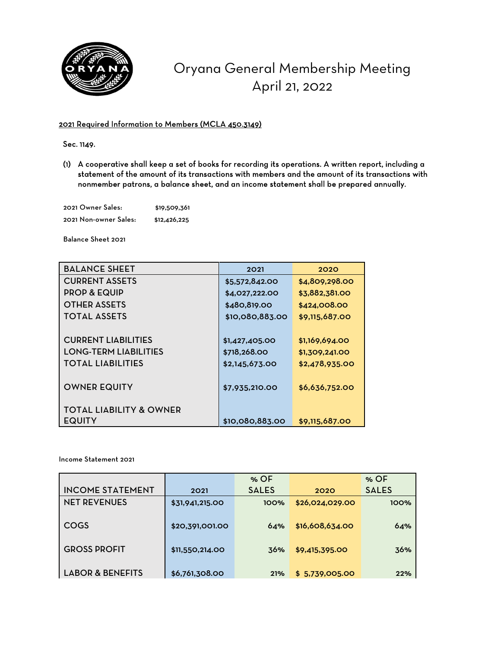

## Oryana General Membership Meeting April 21, 2022

## 2021 Required Information to Members (MCLA 450.3149)

Sec. 1149.

(1) A cooperative shall keep a set of books for recording its operations. A written report, including a statement of the amount of its transactions with members and the amount of its transactions with nonmember patrons, a balance sheet, and an income statement shall be prepared annually.

2021 Owner Sales: \$19,509,361 2021 Non-owner Sales: \$12,426,225

Balance Sheet 2021

| <b>BALANCE SHEET</b>               | 2021            | 2020           |
|------------------------------------|-----------------|----------------|
| <b>CURRENT ASSETS</b>              | \$5,572,842.00  | \$4,809,298.00 |
| <b>PROP &amp; EQUIP</b>            | \$4,027,222.00  | \$3,882,381.00 |
| <b>OTHER ASSETS</b>                | \$480,819.00    | \$424,008.00   |
| <b>TOTAL ASSETS</b>                | \$10,080,883.00 | \$9,115,687.00 |
|                                    |                 |                |
| <b>CURRENT LIABILITIES</b>         | \$1,427,405.00  | \$1,169,694.00 |
| <b>LONG-TERM LIABILITIES</b>       | \$718,268.00    | \$1,309,241.00 |
| <b>TOTAL LIABILITIES</b>           | \$2,145,673.00  | \$2,478,935.00 |
|                                    |                 |                |
| <b>OWNER EQUITY</b>                | \$7,935,210.00  | \$6,636,752.00 |
|                                    |                 |                |
| <b>TOTAL LIABILITY &amp; OWNER</b> |                 |                |
| <b>EQUITY</b>                      | \$10,080,883.00 | \$9,115,687.00 |

Income Statement 2021

|                             |                 | % OF         |                 | $%$ OF       |
|-----------------------------|-----------------|--------------|-----------------|--------------|
| <b>INCOME STATEMENT</b>     | 2021            | <b>SALES</b> | 2020            | <b>SALES</b> |
| <b>NET REVENUES</b>         | \$31,941,215.00 | 100%         | \$26,024,029.00 | 100%         |
|                             |                 |              |                 |              |
| COGS                        | \$20,391,001.00 | 64%          | \$16,608,634.00 | 64%          |
|                             |                 |              |                 |              |
| <b>GROSS PROFIT</b>         | \$11,550,214.00 | 36%          | \$9,415,395.00  | 36%          |
|                             |                 |              |                 |              |
| <b>LABOR &amp; BENEFITS</b> | \$6,761,308.00  | 21%          | \$5,739,005.00  | 22%          |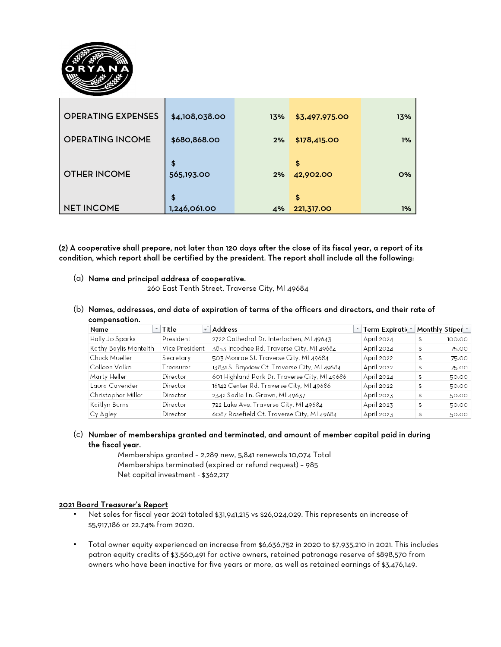

| <b>OPERATING EXPENSES</b> | \$4,108,038.00         | 13% | \$3,497,975.00        | 13% |
|---------------------------|------------------------|-----|-----------------------|-----|
| <b>OPERATING INCOME</b>   | \$680,868.00           | 2%  | \$178,415.00          | 1%  |
| <b>OTHER INCOME</b>       | \$<br>565,193.00<br>\$ | 2%  | \$<br>42,902.00<br>\$ | O%  |
| <b>NET INCOME</b>         | 1,246,061.00           | 4%  | 221,317.00            | 1%  |

(2) A cooperative shall prepare, not later than 120 days after the close of its fiscal year, a report of its condition, which report shall be certified by the president. The report shall include all the following:

(a) Name and principal address of cooperative.

260 East Tenth Street, Traverse City, MI 49684

(b) Names, addresses, and date of expiration of terms of the officers and directors, and their rate of compensation.

| Name                  | Title          | Address                                       | Term Expirati⊖™ | Monthly Stiper <sup>*</sup> |        |
|-----------------------|----------------|-----------------------------------------------|-----------------|-----------------------------|--------|
| Holly Jo Sparks       | President      | 2722 Cathedral Dr. Interlochen, MI 49643      | April 2024      |                             | 100.00 |
| Kathy Baylis Monteith | Vice President | 3853 Incochee Rd. Traverse City, MI 49684     | April 2024      |                             | 75.00  |
| Chuck Mueller         | Secretary      | 503 Monroe St. Traverse City, MI 49684        | April 2022      |                             | 75.00  |
| Colleen Valko         | Treasurer      | 13831 S. Bayview Ct. Traverse City, MI 49684  | April 2022      |                             | 75.00  |
| Marty Heller          | Director       | 601 Highland Park Dr. Traverse City, MI 49686 | April 2024      |                             | 50.00  |
| Laura Cavender        | Director       | 16142 Center Rd. Traverse City, MI 49686      | April 2022      |                             | 50.00  |
| Christopher Miller    | Director       | 2342 Sadie Ln. Grawn, MI 49637                | April 2023      |                             | 50.00  |
| Kaitlyn Burns         | Director       | 722 Lake Ave. Traverse City, MI 49684         | April 2023      |                             | 50.00  |
| Cy Agley              | Director       | 6087 Rosefield Ct. Traverse City, MI 49684    | April 2023      |                             | 50.00  |

(c) Number of memberships granted and terminated, and amount of member capital paid in during the fiscal year.

Memberships granted – 2,289 new, 5,841 renewals 10,074 Total Memberships terminated (expired or refund request) – 985 Net capital investment - \$362,217

## 2021 Board Treasurer's Report

- Net sales for fiscal year 2021 totaled \$31,941,215 vs \$26,024,029. This represents an increase of \$5,917,186 or 22.74% from 2020.
- Total owner equity experienced an increase from \$6,636,752 in 2020 to \$7,935,210 in 2021. This includes patron equity credits of \$3,560,491 for active owners, retained patronage reserve of \$898,570 from owners who have been inactive for five years or more, as well as retained earnings of \$3,476,149.